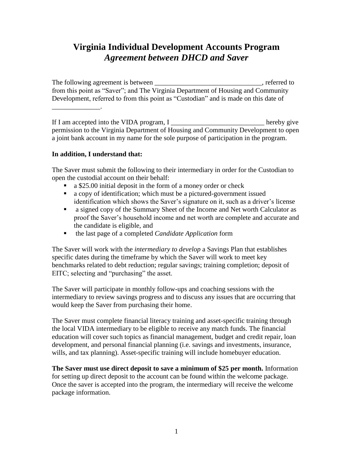## **Virginia Individual Development Accounts Program** *Agreement between DHCD and Saver*

The following agreement is between \_\_\_\_\_\_\_\_\_\_\_\_\_\_\_\_\_\_\_\_\_\_\_\_\_\_\_\_\_, referred to from this point as "Saver"; and The Virginia Department of Housing and Community Development, referred to from this point as "Custodian" and is made on this date of \_\_\_\_\_\_\_\_\_\_\_\_\_\_.

If I am accepted into the VIDA program, I hereby give permission to the Virginia Department of Housing and Community Development to open a joint bank account in my name for the sole purpose of participation in the program.

## **In addition, I understand that:**

The Saver must submit the following to their intermediary in order for the Custodian to open the custodial account on their behalf:

- a \$25.00 initial deposit in the form of a money order or check
- a copy of identification; which must be a pictured-government issued identification which shows the Saver's signature on it, such as a driver's license
- a signed copy of the Summary Sheet of the Income and Net worth Calculator as proof the Saver's household income and net worth are complete and accurate and the candidate is eligible, and
- the last page of a completed *Candidate Application* form

The Saver will work with the *intermediary to develop* a Savings Plan that establishes specific dates during the timeframe by which the Saver will work to meet key benchmarks related to debt reduction; regular savings; training completion; deposit of EITC; selecting and "purchasing" the asset.

The Saver will participate in monthly follow-ups and coaching sessions with the intermediary to review savings progress and to discuss any issues that are occurring that would keep the Saver from purchasing their home.

The Saver must complete financial literacy training and asset-specific training through the local VIDA intermediary to be eligible to receive any match funds. The financial education will cover such topics as financial management, budget and credit repair, loan development, and personal financial planning (i.e. savings and investments, insurance, wills, and tax planning). Asset-specific training will include homebuyer education.

**The Saver must use direct deposit to save a minimum of \$25 per month.** Information for setting up direct deposit to the account can be found within the welcome package. Once the saver is accepted into the program, the intermediary will receive the welcome package information.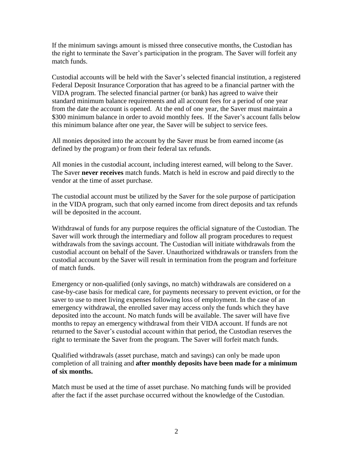If the minimum savings amount is missed three consecutive months, the Custodian has the right to terminate the Saver's participation in the program. The Saver will forfeit any match funds.

Custodial accounts will be held with the Saver's selected financial institution, a registered Federal Deposit Insurance Corporation that has agreed to be a financial partner with the VIDA program. The selected financial partner (or bank) has agreed to waive their standard minimum balance requirements and all account fees for a period of one year from the date the account is opened. At the end of one year, the Saver must maintain a \$300 minimum balance in order to avoid monthly fees. If the Saver's account falls below this minimum balance after one year, the Saver will be subject to service fees.

All monies deposited into the account by the Saver must be from earned income (as defined by the program) or from their federal tax refunds.

All monies in the custodial account, including interest earned, will belong to the Saver. The Saver **never receives** match funds. Match is held in escrow and paid directly to the vendor at the time of asset purchase.

The custodial account must be utilized by the Saver for the sole purpose of participation in the VIDA program, such that only earned income from direct deposits and tax refunds will be deposited in the account.

Withdrawal of funds for any purpose requires the official signature of the Custodian. The Saver will work through the intermediary and follow all program procedures to request withdrawals from the savings account. The Custodian will initiate withdrawals from the custodial account on behalf of the Saver. Unauthorized withdrawals or transfers from the custodial account by the Saver will result in termination from the program and forfeiture of match funds.

Emergency or non-qualified (only savings, no match) withdrawals are considered on a case-by-case basis for medical care, for payments necessary to prevent eviction, or for the saver to use to meet living expenses following loss of employment. In the case of an emergency withdrawal, the enrolled saver may access only the funds which they have deposited into the account. No match funds will be available. The saver will have five months to repay an emergency withdrawal from their VIDA account. If funds are not returned to the Saver's custodial account within that period, the Custodian reserves the right to terminate the Saver from the program. The Saver will forfeit match funds.

Qualified withdrawals (asset purchase, match and savings) can only be made upon completion of all training and **after monthly deposits have been made for a minimum of six months.** 

Match must be used at the time of asset purchase. No matching funds will be provided after the fact if the asset purchase occurred without the knowledge of the Custodian.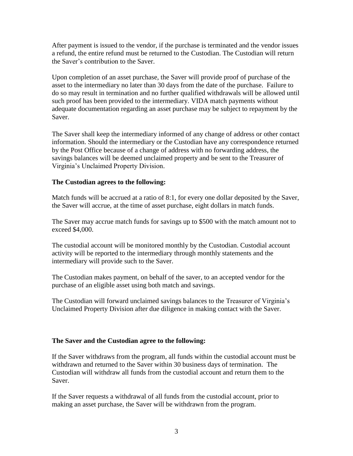After payment is issued to the vendor, if the purchase is terminated and the vendor issues a refund, the entire refund must be returned to the Custodian. The Custodian will return the Saver's contribution to the Saver.

Upon completion of an asset purchase, the Saver will provide proof of purchase of the asset to the intermediary no later than 30 days from the date of the purchase. Failure to do so may result in termination and no further qualified withdrawals will be allowed until such proof has been provided to the intermediary. VIDA match payments without adequate documentation regarding an asset purchase may be subject to repayment by the Saver.

The Saver shall keep the intermediary informed of any change of address or other contact information. Should the intermediary or the Custodian have any correspondence returned by the Post Office because of a change of address with no forwarding address, the savings balances will be deemed unclaimed property and be sent to the Treasurer of Virginia's Unclaimed Property Division.

## **The Custodian agrees to the following:**

Match funds will be accrued at a ratio of 8:1, for every one dollar deposited by the Saver, the Saver will accrue, at the time of asset purchase, eight dollars in match funds.

The Saver may accrue match funds for savings up to \$500 with the match amount not to exceed \$4,000.

The custodial account will be monitored monthly by the Custodian. Custodial account activity will be reported to the intermediary through monthly statements and the intermediary will provide such to the Saver.

The Custodian makes payment, on behalf of the saver, to an accepted vendor for the purchase of an eligible asset using both match and savings.

The Custodian will forward unclaimed savings balances to the Treasurer of Virginia's Unclaimed Property Division after due diligence in making contact with the Saver.

## **The Saver and the Custodian agree to the following:**

If the Saver withdraws from the program, all funds within the custodial account must be withdrawn and returned to the Saver within 30 business days of termination. The Custodian will withdraw all funds from the custodial account and return them to the Saver.

If the Saver requests a withdrawal of all funds from the custodial account, prior to making an asset purchase, the Saver will be withdrawn from the program.